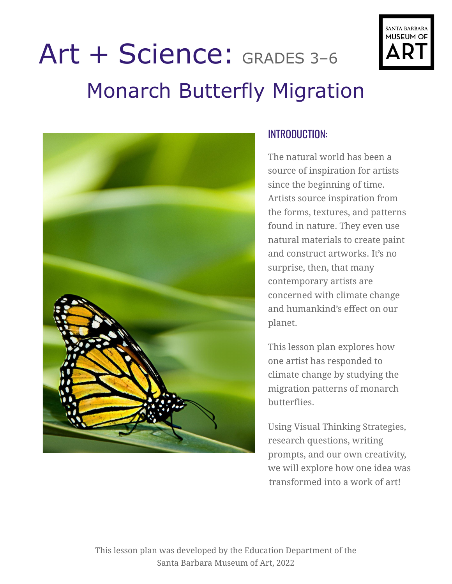

# Art + Science: GRADES 3–6 Monarch Butterfly Migration



#### INTRODUCTION:

The natural world has been a source of inspiration for artists since the beginning of time. Artists source inspiration from the forms, textures, and patterns found in nature. They even use natural materials to create paint and construct artworks. It's no surprise, then, that many contemporary artists are concerned with climate change and humankind's effect on our planet.

This lesson plan explores how one artist has responded to climate change by studying the migration patterns of monarch butterflies.

Using Visual Thinking Strategies, research questions, writing prompts, and our own creativity, we will explore how one idea was transformed into a work of art!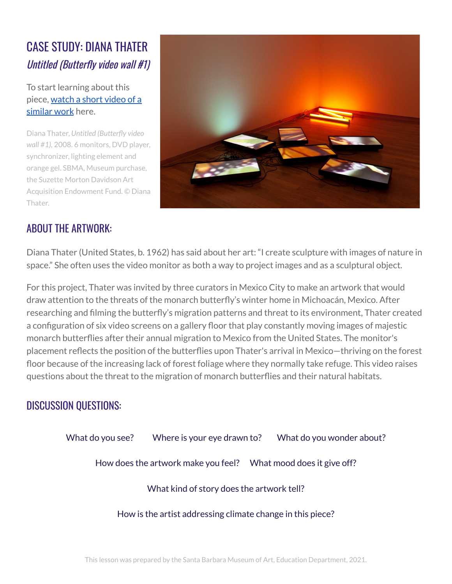# CASE STUDY: DIANA THATER Untitled (Butterfly video wall #1)

To start learning about this piece, [watch](https://vimeo.com/181211712) a short video of a [similar](https://vimeo.com/181211712) work here.

Diana Thater, *Untitled (Butterfly video wall #1),* 2008. 6 monitors, DVD player, synchronizer, lighting element and orange gel. SBMA, Museum purchase, the Suzette Morton Davidson Art Acquisition Endowment Fund. © Diana Thater.



## ABOUT THE ARTWORK:

Diana Thater (United States, b. 1962) has said about her art: "I create sculpture with images of nature in space." She often uses the video monitor as both a way to project images and as a sculptural object.

For this project, Thater was invited by three curators in Mexico City to make an artwork that would draw attention to the threats of the monarch butterfly's winter home in Michoacán, Mexico. After researching and filming the butterfly's migration patterns and threat to its environment, Thater created a configuration of six video screens on a gallery floor that play constantly moving images of majestic monarch butterflies after their annual migration to Mexico from the United States. The monitor's placement reflects the position of the butterflies upon Thater's arrival in Mexico—thriving on the forest floor because of the increasing lack of forest foliage where they normally take refuge. This video raises questions about the threat to the migration of monarch butterflies and their natural habitats.

#### DISCUSSION QUESTIONS:

| What do you see?                                                | Where is your eye drawn to? |  | What do you wonder about? |
|-----------------------------------------------------------------|-----------------------------|--|---------------------------|
| How does the artwork make you feel? What mood does it give off? |                             |  |                           |
| What kind of story does the artwork tell?                       |                             |  |                           |
| How is the artist addressing climate change in this piece?      |                             |  |                           |